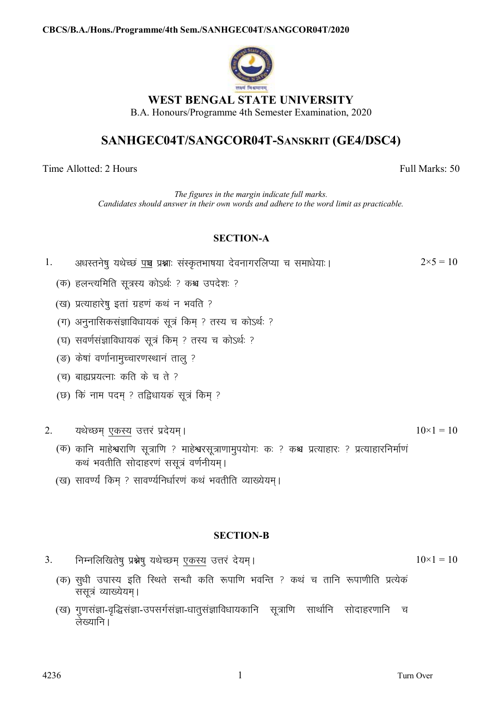

## **WEST BENGAL STATE UNIVERSITY**

B.A. Honours/Programme 4th Semester Examination, 2020

# **SANHGEC04T/SANGCOR04T-SANSKRIT (GE4/DSC4)**

Time Allotted: 2 Hours Full Marks: 50

*The figures in the margin indicate full marks. Candidates should answer in their own words and adhere to the word limit as practicable.*

### **SECTION-A**

- 1. अधस्तनेषु यथेच्छं पञ्च प्रश्नाः संस्कृतभाषया देवनागरलिप्या च समाधेयाः ।  $2 \times 5 = 10$ 
	- $(q)$  हलन्त्यमिति सूत्रस्य कोऽर्थः ? कश्च उपदेशः ?
	- (ख) प्रत्याहारेषु इतां ग्रहणं कथं न भवति ?
	- $(1)$  अनुनासिकसंज्ञाविधायकं सूत्रं किम ? तस्य च कोऽर्थः ?
	- (घ) सवर्णसंज्ञाविधायकं सूत्रं किम ? तस्य च कोऽर्थः ?
	- (ङ) केषां वर्णानामुच्चारणस्थानं तालु ?
	- $(a)$  बाह्यप्रयत्नाः कति के च ते ?
	- (छ) किं नाम पदम् ? तद्विधायकं सूत्रं किम् ?

### 2. ;FksPNe ~ ,dL; mÙkj a i zn s;e ~A 10×1 = 10

- (क) कानि माहेश्वराणि सूत्राणि ? माहेश्वरसूत्राणामुपयोगः कः ? कश्च प्रत्याहारः ? प्रत्याहारनिर्माणं कथं भवतीति सोदाहरणं ससूत्रं वर्णनीयम।
- (ख) सावर्ण्यं किम् ? सावर्ण्यनिर्धारणं कथं भवतीति व्याख्येयम् ।

#### **SECTION-B**

- 3. निम्नलिखितेषु प्रश्नेषु यथेच्छम् एकस्य उत्तरं देयम्।  $10 \times 1 = 10$ 
	- (क) सुधी उपास्य इति स्थिते सन्धौ कति रूपाणि भवन्ति ? कथं च तानि रूपाणीति प्रत्येकं ससूत्रं व्याख्येयम्।
	- (ख) गुणसंज्ञा-वृद्धिसंज्ञा-उपसर्गसंज्ञा-धातुसंज्ञाविधायकानि सूत्राणि सार्थानि सोदाहरणानि च  $\overline{\text{e}}$ रव्यानि ।